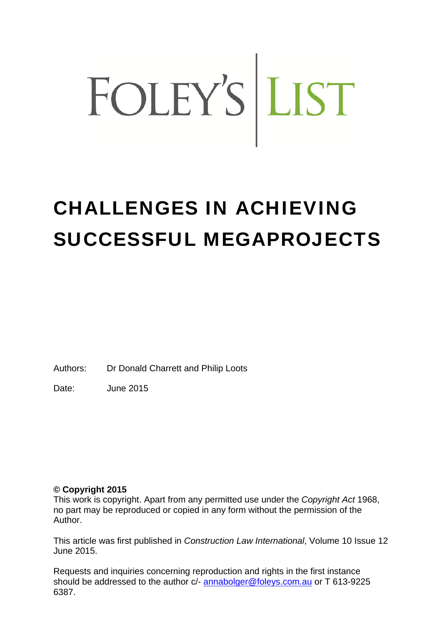# FOLEY'S LIST

### CHALLENGES IN ACHIEVING SUCCESSFUL MEGAPROJECTS

Authors: Dr Donald Charrett and Philip Loots

Date: June 2015

#### **© Copyright 2015**

This work is copyright. Apart from any permitted use under the *Copyright Act* 1968, no part may be reproduced or copied in any form without the permission of the Author.

This article was first published in *Construction Law International*, Volume 10 Issue 12 June 2015.

Requests and inquiries concerning reproduction and rights in the first instance should be addressed to the author c/- annabolger@foleys.com.au or T 613-9225 6387.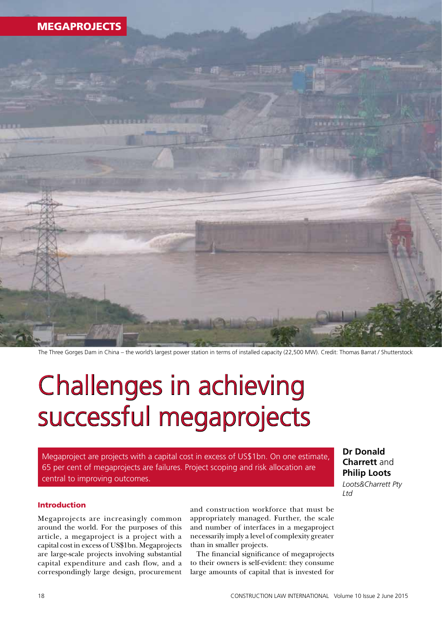

The Three Gorges Dam in China – the world's largest power station in terms of installed capacity (22,500 MW). Credit: Thomas Barrat / Shutterstock

## Challenges in achieving successful megaprojects

Megaproject are projects with a capital cost in excess of US\$1bn. On one estimate, 65 per cent of megaprojects are failures. Project scoping and risk allocation are central to improving outcomes.

#### **Dr Donald Charrett** and **Philip Loots** *Loots&Charrett Pty*

*Ltd*

#### Introduction

Megaprojects are increasingly common around the world. For the purposes of this article, a megaproject is a project with a capital cost in excess of US\$1bn. Megaprojects are large-scale projects involving substantial capital expenditure and cash flow, and a correspondingly large design, procurement and construction workforce that must be appropriately managed. Further, the scale and number of interfaces in a megaproject necessarily imply a level of complexity greater than in smaller projects.

The financial significance of megaprojects to their owners is self-evident: they consume large amounts of capital that is invested for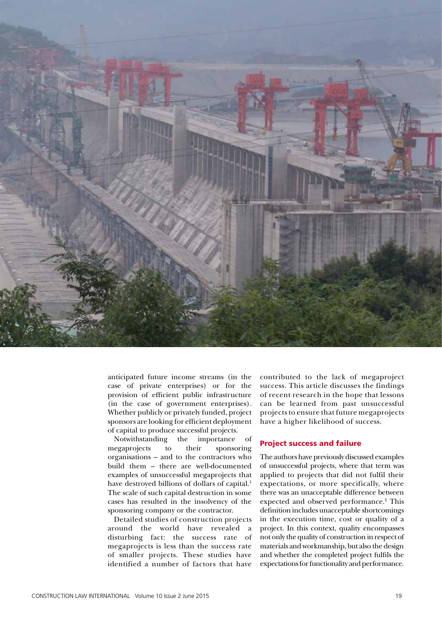

anticipated future income streams (in the case of private enterprises) or for the provision of efficient public infrastructure (in the case of government enterprises). Whether publicly or privately funded, project sponsors are looking for efficient deployment of capital to produce successful projects.

Notwithstanding the importance of megaprojects to their sponsoring organisations – and to the contractors who build them – there are well-documented examples of unsuccessful megaprojects that have destroyed billions of dollars of capital.<sup>1</sup> The scale of such capital destruction in some cases has resulted in the insolvency of the sponsoring company or the contractor.

Detailed studies of construction projects around the world have revealed a disturbing fact: the success rate of megaprojects is less than the success rate of smaller projects. These studies have identified a number of factors that have

contributed to the lack of megaproject success. This article discusses the findings of recent research in the hope that lessons can be learned from past unsuccessful projects to ensure that future megaprojects have a higher likelihood of success.

#### Project success and failure

The authors have previously discussed examples of unsuccessful projects, where that term was applied to projects that did not fulfil their expectations, or more specifically, where there was an unacceptable difference between expected and observed performance.<sup>2</sup> This definition includes unacceptable shortcomings in the execution time, cost or quality of a project. In this context, quality encompasses not only the quality of construction in respect of materials and workmanship, but also the design and whether the completed project fulfils the expectations for functionality and performance.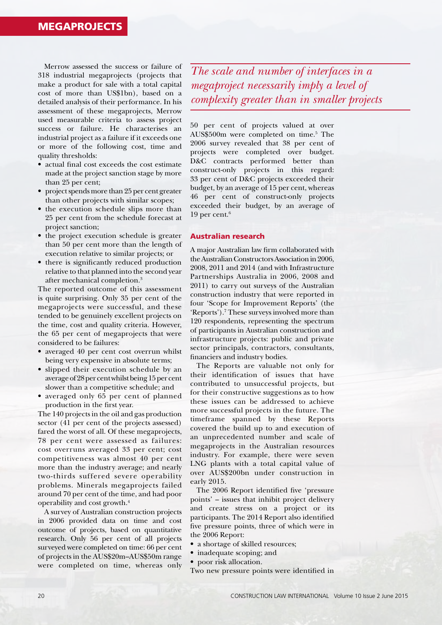Merrow assessed the success or failure of 318 industrial megaprojects (projects that make a product for sale with a total capital cost of more than US\$1bn), based on a detailed analysis of their performance. In his assessment of these megaprojects, Merrow used measurable criteria to assess project success or failure. He characterises an industrial project as a failure if it exceeds one or more of the following cost, time and quality thresholds:

- actual final cost exceeds the cost estimate made at the project sanction stage by more than 25 per cent;
- project spends more than 25 per cent greater than other projects with similar scopes;
- the execution schedule slips more than 25 per cent from the schedule forecast at project sanction;
- the project execution schedule is greater than 50 per cent more than the length of execution relative to similar projects; or
- there is significantly reduced production relative to that planned into the second year after mechanical completion.3

The reported outcome of this assessment is quite surprising. Only 35 per cent of the megaprojects were successful, and these tended to be genuinely excellent projects on the time, cost and quality criteria. However, the 65 per cent of megaprojects that were considered to be failures:

- averaged 40 per cent cost overrun whilst being very expensive in absolute terms;
- slipped their execution schedule by an average of 28 per cent whilst being 15 per cent slower than a competitive schedule; and
- averaged only 65 per cent of planned production in the first year.

The 140 projects in the oil and gas production sector (41 per cent of the projects assessed) fared the worst of all. Of these megaprojects, 78 per cent were assessed as failures: cost overruns averaged 33 per cent; cost competitiveness was almost 40 per cent more than the industry average; and nearly two-thirds suffered severe operability problems. Minerals megaprojects failed around 70 per cent of the time, and had poor operability and cost growth.4

A survey of Australian construction projects in 2006 provided data on time and cost outcome of projects, based on quantitative research. Only 56 per cent of all projects surveyed were completed on time: 66 per cent of projects in the AUS\$20m–AUS\$50m range were completed on time, whereas only

*The scale and number of interfaces in a megaproject necessarily imply a level of complexity greater than in smaller projects*

50 per cent of projects valued at over AUS\$500m were completed on time.<sup>5</sup> The 2006 survey revealed that 38 per cent of projects were completed over budget. D&C contracts performed better than construct-only projects in this regard: 33 per cent of D&C projects exceeded their budget, by an average of 15 per cent, whereas 46 per cent of construct-only projects exceeded their budget, by an average of 19 per cent. $6$ 

#### Australian research

A major Australian law firm collaborated with the Australian Constructors Association in 2006, 2008, 2011 and 2014 (and with Infrastructure Partnerships Australia in 2006, 2008 and 2011) to carry out surveys of the Australian construction industry that were reported in four 'Scope for Improvement Reports' (the 'Reports').<sup>7</sup> These surveys involved more than 120 respondents, representing the spectrum of participants in Australian construction and infrastructure projects: public and private sector principals, contractors, consultants, financiers and industry bodies.

The Reports are valuable not only for their identification of issues that have contributed to unsuccessful projects, but for their constructive suggestions as to how these issues can be addressed to achieve more successful projects in the future. The timeframe spanned by these Reports covered the build up to and execution of an unprecedented number and scale of megaprojects in the Australian resources industry. For example, there were seven LNG plants with a total capital value of over AUS\$200bn under construction in early 2015.

The 2006 Report identified five 'pressure points' – issues that inhibit project delivery and create stress on a project or its participants. The 2014 Report also identified five pressure points, three of which were in the 2006 Report:

- a shortage of skilled resources;
- inadequate scoping; and
- poor risk allocation.

Two new pressure points were identified in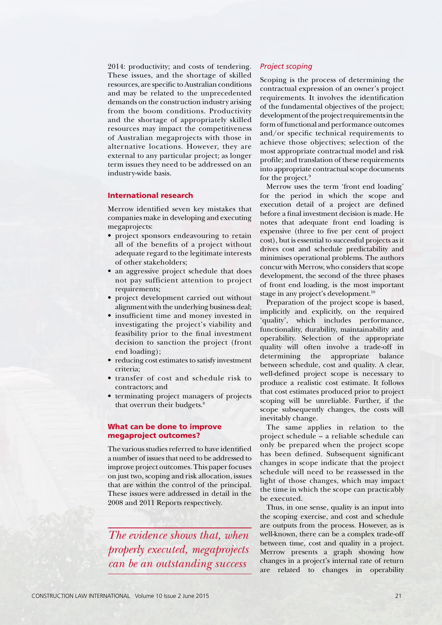2014: productivity; and costs of tendering. These issues, and the shortage of skilled resources, are specific to Australian conditions and may be related to the unprecedented demands on the construction industry arising from the boom conditions. Productivity and the shortage of appropriately skilled resources may impact the competitiveness of Australian megaprojects with those in alternative locations. However, they are external to any particular project; as longer term issues they need to be addressed on an industry-wide basis.

#### International research

Merrow identified seven key mistakes that companies make in developing and executing megaprojects:

- project sponsors endeavouring to retain all of the benefits of a project without adequate regard to the legitimate interests of other stakeholders;
- an aggressive project schedule that does not pay sufficient attention to project requirements;
- project development carried out without alignment with the underlying business deal;
- insufficient time and money invested in investigating the project's viability and feasibility prior to the final investment decision to sanction the project (front end loading);
- reducing cost estimates to satisfy investment criteria;
- transfer of cost and schedule risk to contractors; and
- terminating project managers of projects that overrun their budgets.<sup>8</sup>

#### What can be done to improve megaproject outcomes?

The various studies referred to have identified a number of issues that need to be addressed to improve project outcomes. This paper focuses on just two, scoping and risk allocation, issues that are within the control of the principal. These issues were addressed in detail in the 2008 and 2011 Reports respectively.

*The evidence shows that, when properly executed, megaprojects can be an outstanding success*

#### *Project scoping*

Scoping is the process of determining the contractual expression of an owner's project requirements. It involves the identification of the fundamental objectives of the project; development of the project requirements in the form of functional and performance outcomes and/or specific technical requirements to achieve those objectives; selection of the most appropriate contractual model and risk profile; and translation of these requirements into appropriate contractual scope documents for the project.<sup>9</sup>

Merrow uses the term 'front end loading' for the period in which the scope and execution detail of a project are defined before a final investment decision is made. He notes that adequate front end loading is expensive (three to five per cent of project cost), but is essential to successful projects as it drives cost and schedule predictability and minimises operational problems. The authors concur with Merrow, who considers that scope development, the second of the three phases of front end loading, is the most important stage in any project's development.<sup>10</sup>

Preparation of the project scope is based, implicitly and explicitly, on the required 'quality', which includes performance, functionality, durability, maintainability and operability. Selection of the appropriate quality will often involve a trade-off in determining the appropriate balance between schedule, cost and quality. A clear, well-defined project scope is necessary to produce a realistic cost estimate. It follows that cost estimates produced prior to project scoping will be unreliable. Further, if the scope subsequently changes, the costs will inevitably change.

The same applies in relation to the project schedule – a reliable schedule can only be prepared when the project scope has been defined. Subsequent significant changes in scope indicate that the project schedule will need to be reassessed in the light of those changes, which may impact the time in which the scope can practicably be executed.

Thus, in one sense, quality is an input into the scoping exercise, and cost and schedule are outputs from the process. However, as is well-known, there can be a complex trade-off between time, cost and quality in a project. Merrow presents a graph showing how changes in a project's internal rate of return are related to changes in operability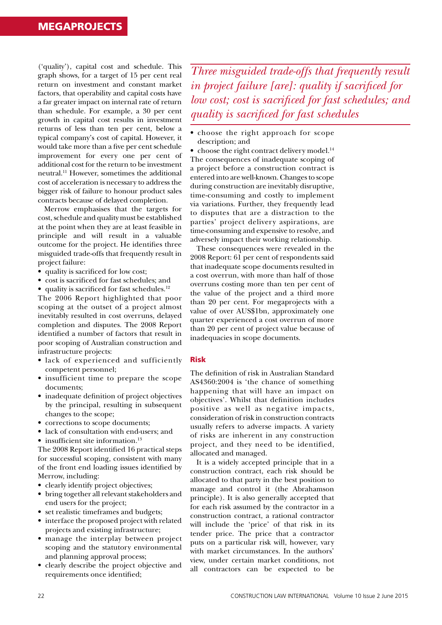('quality'), capital cost and schedule. This graph shows, for a target of 15 per cent real return on investment and constant market factors, that operability and capital costs have a far greater impact on internal rate of return than schedule. For example, a 30 per cent growth in capital cost results in investment returns of less than ten per cent, below a typical company's cost of capital. However, it would take more than a five per cent schedule improvement for every one per cent of additional cost for the return to be investment neutral.11 However, sometimes the additional cost of acceleration is necessary to address the bigger risk of failure to honour product sales contracts because of delayed completion.

Merrow emphasises that the targets for cost, schedule and quality must be established at the point when they are at least feasible in principle and will result in a valuable outcome for the project. He identifies three misguided trade-offs that frequently result in project failure:

- quality is sacrificed for low cost;
- cost is sacrificed for fast schedules; and
- quality is sacrificed for fast schedules. $12$

The 2006 Report highlighted that poor scoping at the outset of a project almost inevitably resulted in cost overruns, delayed completion and disputes. The 2008 Report identified a number of factors that result in poor scoping of Australian construction and infrastructure projects:

- lack of experienced and sufficiently competent personnel;
- insufficient time to prepare the scope documents;
- inadequate definition of project objectives by the principal, resulting in subsequent changes to the scope;
- corrections to scope documents;
- lack of consultation with end-users; and
- insufficient site information.<sup>13</sup>

The 2008 Report identified 16 practical steps for successful scoping, consistent with many of the front end loading issues identified by Merrow, including:

- clearly identify project objectives;
- bring together all relevant stakeholders and end users for the project;
- set realistic timeframes and budgets;
- interface the proposed project with related projects and existing infrastructure;
- manage the interplay between project scoping and the statutory environmental and planning approval process;
- clearly describe the project objective and requirements once identified;

*Three misguided trade-offs that frequently result in project failure [are]: quality if sacrificed for low cost; cost is sacrificed for fast schedules; and quality is sacrificed for fast schedules*

• choose the right approach for scope description; and

• choose the right contract delivery model.<sup>14</sup> The consequences of inadequate scoping of a project before a construction contract is entered into are well-known. Changes to scope during construction are inevitably disruptive, time-consuming and costly to implement via variations. Further, they frequently lead to disputes that are a distraction to the parties' project delivery aspirations, are time-consuming and expensive to resolve, and adversely impact their working relationship.

These consequences were revealed in the 2008 Report: 61 per cent of respondents said that inadequate scope documents resulted in a cost overrun, with more than half of those overruns costing more than ten per cent of the value of the project and a third more than 20 per cent. For megaprojects with a value of over AUS\$1bn, approximately one quarter experienced a cost overrun of more than 20 per cent of project value because of inadequacies in scope documents.

#### Risk

The definition of risk in Australian Standard AS4360:2004 is 'the chance of something happening that will have an impact on objectives'. Whilst that definition includes positive as well as negative impacts, consideration of risk in construction contracts usually refers to adverse impacts. A variety of risks are inherent in any construction project, and they need to be identified, allocated and managed.

It is a widely accepted principle that in a construction contract, each risk should be allocated to that party in the best position to manage and control it (the Abrahamson principle). It is also generally accepted that for each risk assumed by the contractor in a construction contract, a rational contractor will include the 'price' of that risk in its tender price. The price that a contractor puts on a particular risk will, however, vary with market circumstances. In the authors' view, under certain market conditions, not all contractors can be expected to be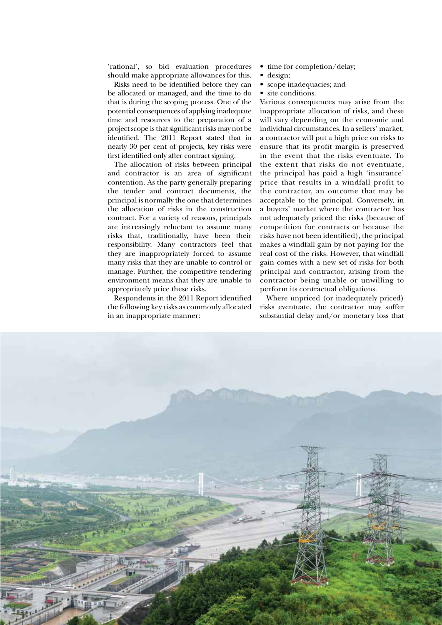'rational', so bid evaluation procedures should make appropriate allowances for this.

Risks need to be identified before they can be allocated or managed, and the time to do that is during the scoping process. One of the potential consequences of applying inadequate time and resources to the preparation of a project scope is that significant risks may not be identified. The 2011 Report stated that in nearly 30 per cent of projects, key risks were first identified only after contract signing.

The allocation of risks between principal and contractor is an area of significant contention. As the party generally preparing the tender and contract documents, the principal is normally the one that determines the allocation of risks in the construction contract. For a variety of reasons, principals are increasingly reluctant to assume many risks that, traditionally, have been their responsibility. Many contractors feel that they are inappropriately forced to assume many risks that they are unable to control or manage. Further, the competitive tendering environment means that they are unable to appropriately price these risks.

Respondents in the 2011 Report identified the following key risks as commonly allocated in an inappropriate manner:

- time for completion/delay;
- design;
- scope inadequacies; and
- site conditions.

Various consequences may arise from the inappropriate allocation of risks, and these will vary depending on the economic and individual circumstances. In a sellers' market, a contractor will put a high price on risks to ensure that its profit margin is preserved in the event that the risks eventuate. To the extent that risks do not eventuate, the principal has paid a high 'insurance' price that results in a windfall profit to the contractor, an outcome that may be acceptable to the principal. Conversely, in a buyers' market where the contractor has not adequately priced the risks (because of competition for contracts or because the risks have not been identified), the principal makes a windfall gain by not paying for the real cost of the risks. However, that windfall gain comes with a new set of risks for both principal and contractor, arising from the contractor being unable or unwilling to perform its contractual obligations.

Where unpriced (or inadequately priced) risks eventuate, the contractor may suffer substantial delay and/or monetary loss that